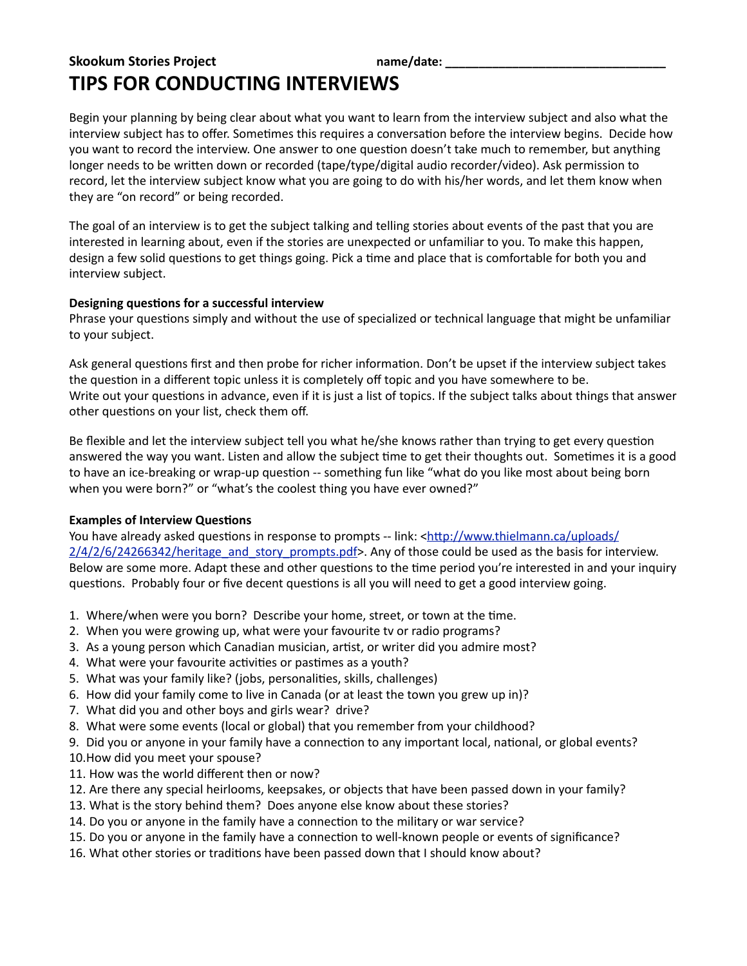# **Skookum Stories Project and Community Community Community Community Community Community Community Community Community Community Community Community Community Community Community Community Community Community Community C TIPS FOR CONDUCTING INTERVIEWS**

Begin your planning by being clear about what you want to learn from the interview subject and also what the interview subject has to offer. Sometimes this requires a conversation before the interview begins. Decide how you want to record the interview. One answer to one question doesn't take much to remember, but anything longer needs to be written down or recorded (tape/type/digital audio recorder/video). Ask permission to record, let the interview subject know what you are going to do with his/her words, and let them know when they are "on record" or being recorded.

The goal of an interview is to get the subject talking and telling stories about events of the past that you are interested in learning about, even if the stories are unexpected or unfamiliar to you. To make this happen, design a few solid questions to get things going. Pick a time and place that is comfortable for both you and interview subject.

## Designing questions for a successful interview

Phrase your questions simply and without the use of specialized or technical language that might be unfamiliar to your subject.

Ask general questions first and then probe for richer information. Don't be upset if the interview subject takes the question in a different topic unless it is completely off topic and you have somewhere to be. Write out your questions in advance, even if it is just a list of topics. If the subject talks about things that answer other questions on your list, check them off.

Be flexible and let the interview subject tell you what he/she knows rather than trying to get every question answered the way you want. Listen and allow the subject time to get their thoughts out. Sometimes it is a good to have an ice-breaking or wrap-up question -- something fun like "what do you like most about being born when you were born?" or "what's the coolest thing you have ever owned?"

## **Examples of Interview Questions**

You have already asked questions in response to prompts -- link: <http://www.thielmann.ca/uploads/  $2/4/2/6/24266342/h$ eritage and story prompts.pdf>. Any of those could be used as the basis for interview. Below are some more. Adapt these and other questions to the time period you're interested in and your inquiry questions. Probably four or five decent questions is all you will need to get a good interview going.

- 1. Where/when were you born? Describe your home, street, or town at the time.
- 2. When you were growing up, what were your favourite tv or radio programs?
- 3. As a young person which Canadian musician, artist, or writer did you admire most?
- 4. What were your favourite activities or pastimes as a youth?
- 5. What was your family like? (jobs, personalities, skills, challenges)
- 6. How did your family come to live in Canada (or at least the town you grew up in)?
- 7. What did you and other boys and girls wear? drive?
- 8. What were some events (local or global) that you remember from your childhood?

9. Did you or anyone in your family have a connection to any important local, national, or global events?

10.How did you meet your spouse?

- 11. How was the world different then or now?
- 12. Are there any special heirlooms, keepsakes, or objects that have been passed down in your family?
- 13. What is the story behind them? Does anyone else know about these stories?
- 14. Do you or anyone in the family have a connection to the military or war service?
- 15. Do you or anyone in the family have a connection to well-known people or events of significance?
- 16. What other stories or traditions have been passed down that I should know about?